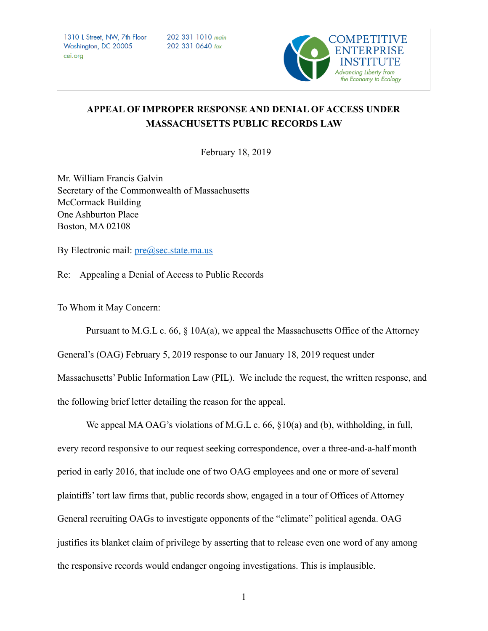1310 L Street, NW, 7th Floor Washington, DC 20005 cei.ora

202 331 1010 main 202 331 0640 fax



## **APPEAL OF IMPROPER RESPONSE AND DENIAL OF ACCESS UNDER MASSACHUSETTS PUBLIC RECORDS LAW**

February 18, 2019

Mr. William Francis Galvin Secretary of the Commonwealth of Massachusetts McCormack Building One Ashburton Place Boston, MA 02108

By Electronic mail:  $pre@sec.state.macus$ 

Re: Appealing a Denial of Access to Public Records

To Whom it May Concern:

 Pursuant to M.G.L c. 66, § 10A(a), we appeal the Massachusetts Office of the Attorney General's (OAG) February 5, 2019 response to our January 18, 2019 request under Massachusetts' Public Information Law (PIL). We include the request, the written response, and the following brief letter detailing the reason for the appeal.

We appeal MA OAG's violations of M.G.L c. 66, §10(a) and (b), withholding, in full, every record responsive to our request seeking correspondence, over a three-and-a-half month period in early 2016, that include one of two OAG employees and one or more of several plaintiffs' tort law firms that, public records show, engaged in a tour of Offices of Attorney General recruiting OAGs to investigate opponents of the "climate" political agenda. OAG justifies its blanket claim of privilege by asserting that to release even one word of any among the responsive records would endanger ongoing investigations. This is implausible.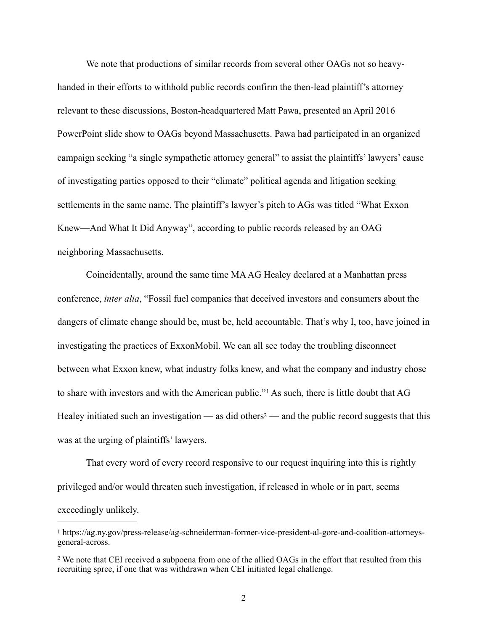We note that productions of similar records from several other OAGs not so heavyhanded in their efforts to withhold public records confirm the then-lead plaintiff's attorney relevant to these discussions, Boston-headquartered Matt Pawa, presented an April 2016 PowerPoint slide show to OAGs beyond Massachusetts. Pawa had participated in an organized campaign seeking "a single sympathetic attorney general" to assist the plaintiffs' lawyers' cause of investigating parties opposed to their "climate" political agenda and litigation seeking settlements in the same name. The plaintiff's lawyer's pitch to AGs was titled "What Exxon Knew—And What It Did Anyway", according to public records released by an OAG neighboring Massachusetts.

 Coincidentally, around the same time MA AG Healey declared at a Manhattan press conference, *inter alia*, "Fossil fuel companies that deceived investors and consumers about the dangers of climate change should be, must be, held accountable. That's why I, too, have joined in investigating the practices of ExxonMobil. We can all see today the troubling disconnect between what Exxon knew, what industry folks knew, and what the company and industry chose toshare with investors and with the American public."<sup>[1](#page-1-0)</sup> As such, there is little doubt that AG Healey initiated such an investigation — as did others<sup>2</sup> — and the public record suggests that this was at the urging of plaintiffs' lawyers.

<span id="page-1-3"></span><span id="page-1-2"></span> That every word of every record responsive to our request inquiring into this is rightly privileged and/or would threaten such investigation, if released in whole or in part, seems exceedingly unlikely.

<span id="page-1-0"></span>https://ag.ny.gov/press-release/ag-schneiderman-former-vice-president-al-gore-and-coalition-attorneys- [1](#page-1-2) general-across.

<span id="page-1-1"></span><sup>&</sup>lt;sup>2</sup>We note that CEI received a subpoena from one of the allied OAGs in the effort that resulted from this recruiting spree, if one that was withdrawn when CEI initiated legal challenge.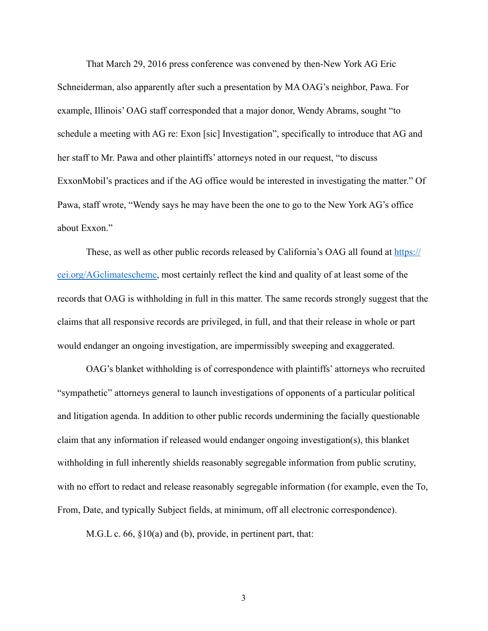That March 29, 2016 press conference was convened by then-New York AG Eric Schneiderman, also apparently after such a presentation by MA OAG's neighbor, Pawa. For example, Illinois' OAG staff corresponded that a major donor, Wendy Abrams, sought "to schedule a meeting with AG re: Exon [sic] Investigation", specifically to introduce that AG and her staff to Mr. Pawa and other plaintiffs' attorneys noted in our request, "to discuss ExxonMobil's practices and if the AG office would be interested in investigating the matter." Of Pawa, staff wrote, "Wendy says he may have been the one to go to the New York AG's office about Exxon."

These, as well as other public records released by California's OAG all found at [https://](https://cei.org/AGclimatescheme) [cei.org/AGclimatescheme,](https://cei.org/AGclimatescheme) most certainly reflect the kind and quality of at least some of the records that OAG is withholding in full in this matter. The same records strongly suggest that the claims that all responsive records are privileged, in full, and that their release in whole or part would endanger an ongoing investigation, are impermissibly sweeping and exaggerated.

 OAG's blanket withholding is of correspondence with plaintiffs' attorneys who recruited "sympathetic" attorneys general to launch investigations of opponents of a particular political and litigation agenda. In addition to other public records undermining the facially questionable claim that any information if released would endanger ongoing investigation(s), this blanket withholding in full inherently shields reasonably segregable information from public scrutiny, with no effort to redact and release reasonably segregable information (for example, even the To, From, Date, and typically Subject fields, at minimum, off all electronic correspondence).

M.G.L c. 66, §10(a) and (b), provide, in pertinent part, that: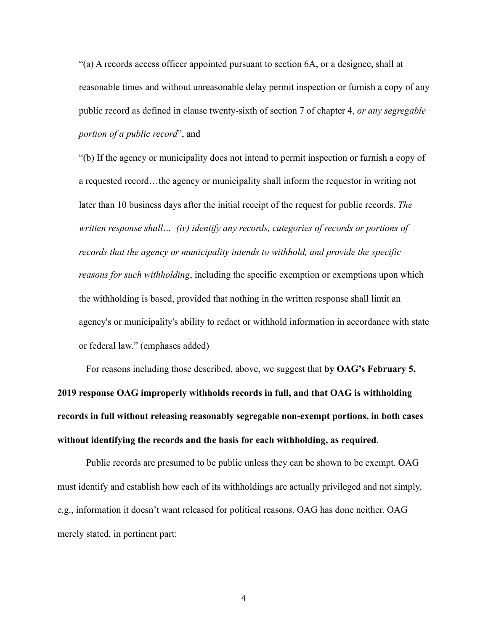"(a) A records access officer appointed pursuant to section 6A, or a designee, shall at reasonable times and without unreasonable delay permit inspection or furnish a copy of any public record as defined in clause twenty-sixth of section 7 of chapter 4, *or any segregable portion of a public record*", and

"(b) If the agency or municipality does not intend to permit inspection or furnish a copy of a requested record…the agency or municipality shall inform the requestor in writing not later than 10 business days after the initial receipt of the request for public records. *The written response shall… (iv) identify any records, categories of records or portions of records that the agency or municipality intends to withhold, and provide the specific reasons for such withholding*, including the specific exemption or exemptions upon which the withholding is based, provided that nothing in the written response shall limit an agency's or municipality's ability to redact or withhold information in accordance with state or federal law." (emphases added)

 For reasons including those described, above, we suggest that **by OAG's February 5, 2019 response OAG improperly withholds records in full, and that OAG is withholding records in full without releasing reasonably segregable non-exempt portions, in both cases without identifying the records and the basis for each withholding, as required**.

 Public records are presumed to be public unless they can be shown to be exempt. OAG must identify and establish how each of its withholdings are actually privileged and not simply, e.g., information it doesn't want released for political reasons. OAG has done neither. OAG merely stated, in pertinent part: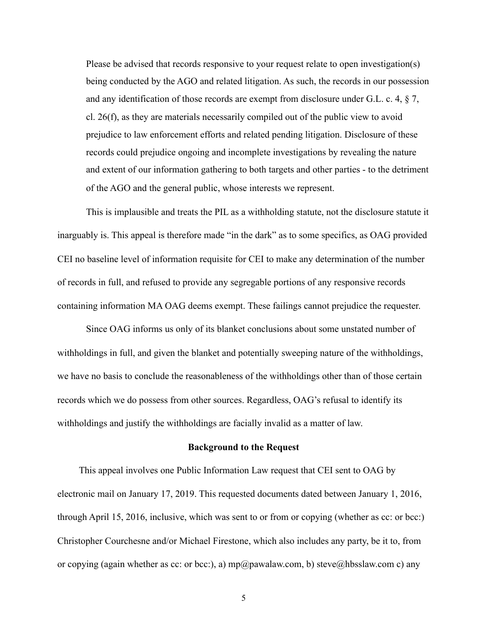Please be advised that records responsive to your request relate to open investigation(s) being conducted by the AGO and related litigation. As such, the records in our possession and any identification of those records are exempt from disclosure under G.L. c. 4, § 7, cl. 26(f), as they are materials necessarily compiled out of the public view to avoid prejudice to law enforcement efforts and related pending litigation. Disclosure of these records could prejudice ongoing and incomplete investigations by revealing the nature and extent of our information gathering to both targets and other parties - to the detriment of the AGO and the general public, whose interests we represent.

 This is implausible and treats the PIL as a withholding statute, not the disclosure statute it inarguably is. This appeal is therefore made "in the dark" as to some specifics, as OAG provided CEI no baseline level of information requisite for CEI to make any determination of the number of records in full, and refused to provide any segregable portions of any responsive records containing information MA OAG deems exempt. These failings cannot prejudice the requester.

 Since OAG informs us only of its blanket conclusions about some unstated number of withholdings in full, and given the blanket and potentially sweeping nature of the withholdings, we have no basis to conclude the reasonableness of the withholdings other than of those certain records which we do possess from other sources. Regardless, OAG's refusal to identify its withholdings and justify the withholdings are facially invalid as a matter of law.

## **Background to the Request**

This appeal involves one Public Information Law request that CEI sent to OAG by electronic mail on January 17, 2019. This requested documents dated between January 1, 2016, through April 15, 2016, inclusive, which was sent to or from or copying (whether as cc: or bcc:) Christopher Courchesne and/or Michael Firestone, which also includes any party, be it to, from or copying (again whether as cc: or bcc:), a)  $mp@pawalaw.com$ , b) steve@hbsslaw.com c) any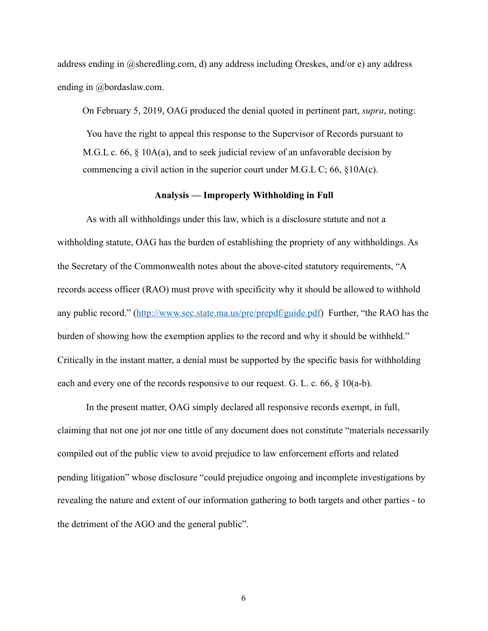address ending in @sheredling.com, d) any address including Oreskes, and/or e) any address ending in @bordaslaw.com.

On February 5, 2019, OAG produced the denial quoted in pertinent part, *supra*, noting:

 You have the right to appeal this response to the Supervisor of Records pursuant to M.G.L c. 66, § 10A(a), and to seek judicial review of an unfavorable decision by commencing a civil action in the superior court under M.G.L C; 66, §10A(c).

## **Analysis — Improperly Withholding in Full**

As with all withholdings under this law, which is a disclosure statute and not a withholding statute, OAG has the burden of establishing the propriety of any withholdings. As the Secretary of the Commonwealth notes about the above-cited statutory requirements, "A records access officer (RAO) must prove with specificity why it should be allowed to withhold any public record." [\(http://www.sec.state.ma.us/pre/prepdf/guide.pdf](http://www.sec.state.ma.us/pre/prepdf/guide.pdf)) Further, "the RAO has the burden of showing how the exemption applies to the record and why it should be withheld." Critically in the instant matter, a denial must be supported by the specific basis for withholding each and every one of the records responsive to our request. G. L. c. 66,  $\S$  10(a-b).

 In the present matter, OAG simply declared all responsive records exempt, in full, claiming that not one jot nor one tittle of any document does not constitute "materials necessarily compiled out of the public view to avoid prejudice to law enforcement efforts and related pending litigation" whose disclosure "could prejudice ongoing and incomplete investigations by revealing the nature and extent of our information gathering to both targets and other parties - to the detriment of the AGO and the general public".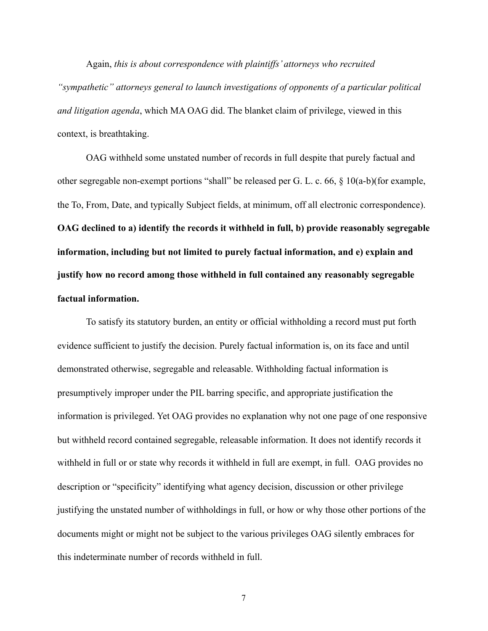Again, *this is about correspondence with plaintiffs' attorneys who recruited "sympathetic" attorneys general to launch investigations of opponents of a particular political and litigation agenda*, which MA OAG did. The blanket claim of privilege, viewed in this context, is breathtaking.

 OAG withheld some unstated number of records in full despite that purely factual and other segregable non-exempt portions "shall" be released per G. L. c. 66, § 10(a-b)(for example, the To, From, Date, and typically Subject fields, at minimum, off all electronic correspondence). **OAG declined to a) identify the records it withheld in full, b) provide reasonably segregable information, including but not limited to purely factual information, and e) explain and justify how no record among those withheld in full contained any reasonably segregable factual information.**

 To satisfy its statutory burden, an entity or official withholding a record must put forth evidence sufficient to justify the decision. Purely factual information is, on its face and until demonstrated otherwise, segregable and releasable. Withholding factual information is presumptively improper under the PIL barring specific, and appropriate justification the information is privileged. Yet OAG provides no explanation why not one page of one responsive but withheld record contained segregable, releasable information. It does not identify records it withheld in full or or state why records it withheld in full are exempt, in full. OAG provides no description or "specificity" identifying what agency decision, discussion or other privilege justifying the unstated number of withholdings in full, or how or why those other portions of the documents might or might not be subject to the various privileges OAG silently embraces for this indeterminate number of records withheld in full.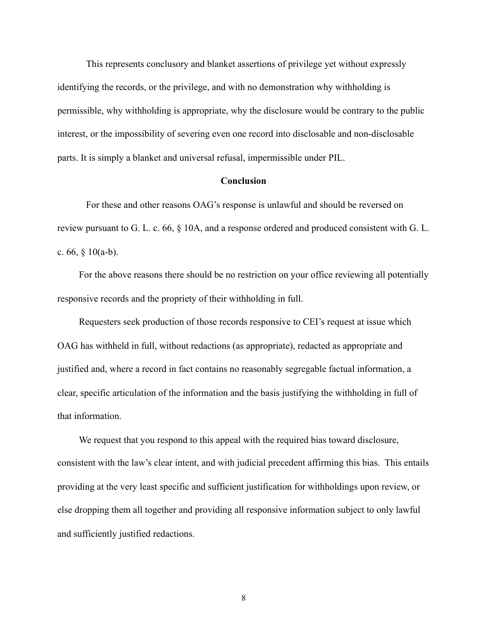This represents conclusory and blanket assertions of privilege yet without expressly identifying the records, or the privilege, and with no demonstration why withholding is permissible, why withholding is appropriate, why the disclosure would be contrary to the public interest, or the impossibility of severing even one record into disclosable and non-disclosable parts. It is simply a blanket and universal refusal, impermissible under PIL.

## **Conclusion**

 For these and other reasons OAG's response is unlawful and should be reversed on review pursuant to G. L. c. 66, § 10A, and a response ordered and produced consistent with G. L. c. 66,  $§$  10(a-b).

 For the above reasons there should be no restriction on your office reviewing all potentially responsive records and the propriety of their withholding in full.

 Requesters seek production of those records responsive to CEI's request at issue which OAG has withheld in full, without redactions (as appropriate), redacted as appropriate and justified and, where a record in fact contains no reasonably segregable factual information, a clear, specific articulation of the information and the basis justifying the withholding in full of that information.

We request that you respond to this appeal with the required bias toward disclosure, consistent with the law's clear intent, and with judicial precedent affirming this bias. This entails providing at the very least specific and sufficient justification for withholdings upon review, or else dropping them all together and providing all responsive information subject to only lawful and sufficiently justified redactions.